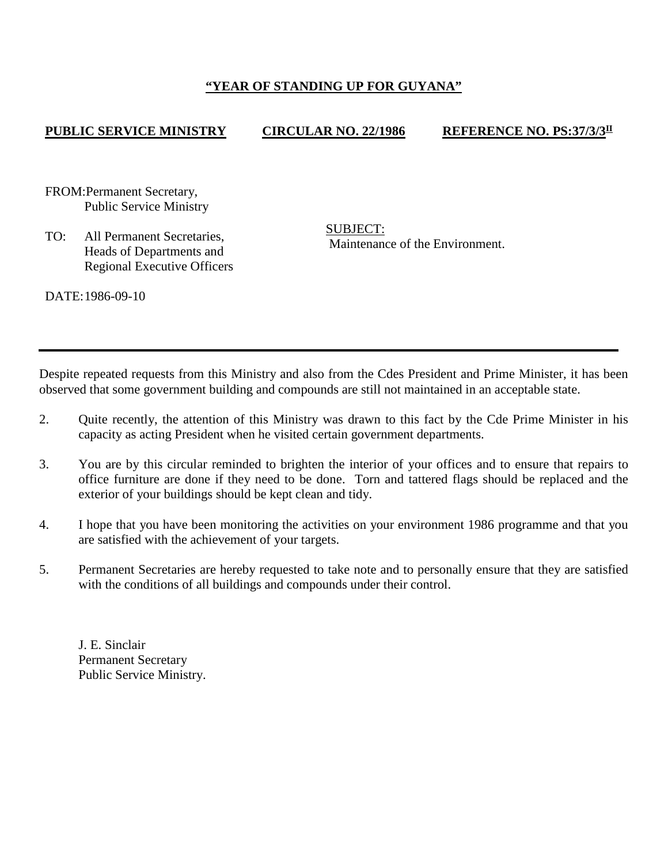## **"YEAR OF STANDING UP FOR GUYANA"**

## **PUBLIC SERVICE MINISTRY CIRCULAR NO. 22/1986 REFERENCE NO. PS:37/3/3II**

FROM:Permanent Secretary, Public Service Ministry

TO: All Permanent Secretaries, Heads of Departments and Regional Executive Officers SUBJECT: Maintenance of the Environment.

DATE:1986-09-10

Despite repeated requests from this Ministry and also from the Cdes President and Prime Minister, it has been observed that some government building and compounds are still not maintained in an acceptable state.

- 2. Quite recently, the attention of this Ministry was drawn to this fact by the Cde Prime Minister in his capacity as acting President when he visited certain government departments.
- 3. You are by this circular reminded to brighten the interior of your offices and to ensure that repairs to office furniture are done if they need to be done. Torn and tattered flags should be replaced and the exterior of your buildings should be kept clean and tidy.
- 4. I hope that you have been monitoring the activities on your environment 1986 programme and that you are satisfied with the achievement of your targets.
- 5. Permanent Secretaries are hereby requested to take note and to personally ensure that they are satisfied with the conditions of all buildings and compounds under their control.

J. E. Sinclair Permanent Secretary Public Service Ministry.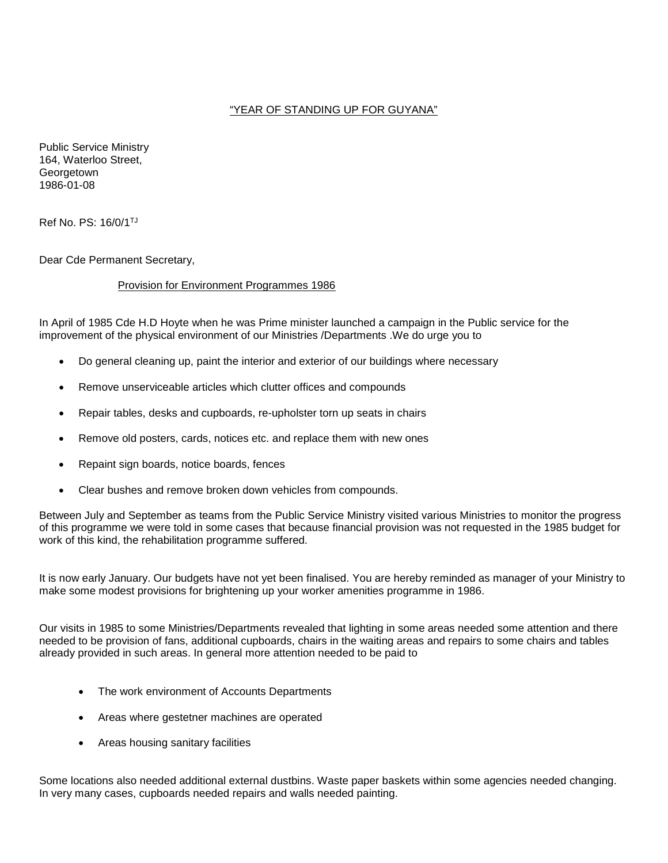## "YEAR OF STANDING UP FOR GUYANA"

Public Service Ministry 164, Waterloo Street, **Georgetown** 1986-01-08

Ref No. PS: 16/0/1TJ

Dear Cde Permanent Secretary,

## Provision for Environment Programmes 1986

In April of 1985 Cde H.D Hoyte when he was Prime minister launched a campaign in the Public service for the improvement of the physical environment of our Ministries /Departments .We do urge you to

- Do general cleaning up, paint the interior and exterior of our buildings where necessary
- Remove unserviceable articles which clutter offices and compounds
- Repair tables, desks and cupboards, re-upholster torn up seats in chairs
- Remove old posters, cards, notices etc. and replace them with new ones
- Repaint sign boards, notice boards, fences
- Clear bushes and remove broken down vehicles from compounds.

Between July and September as teams from the Public Service Ministry visited various Ministries to monitor the progress of this programme we were told in some cases that because financial provision was not requested in the 1985 budget for work of this kind, the rehabilitation programme suffered.

It is now early January. Our budgets have not yet been finalised. You are hereby reminded as manager of your Ministry to make some modest provisions for brightening up your worker amenities programme in 1986.

Our visits in 1985 to some Ministries/Departments revealed that lighting in some areas needed some attention and there needed to be provision of fans, additional cupboards, chairs in the waiting areas and repairs to some chairs and tables already provided in such areas. In general more attention needed to be paid to

- The work environment of Accounts Departments
- Areas where gestetner machines are operated
- Areas housing sanitary facilities

Some locations also needed additional external dustbins. Waste paper baskets within some agencies needed changing. In very many cases, cupboards needed repairs and walls needed painting.